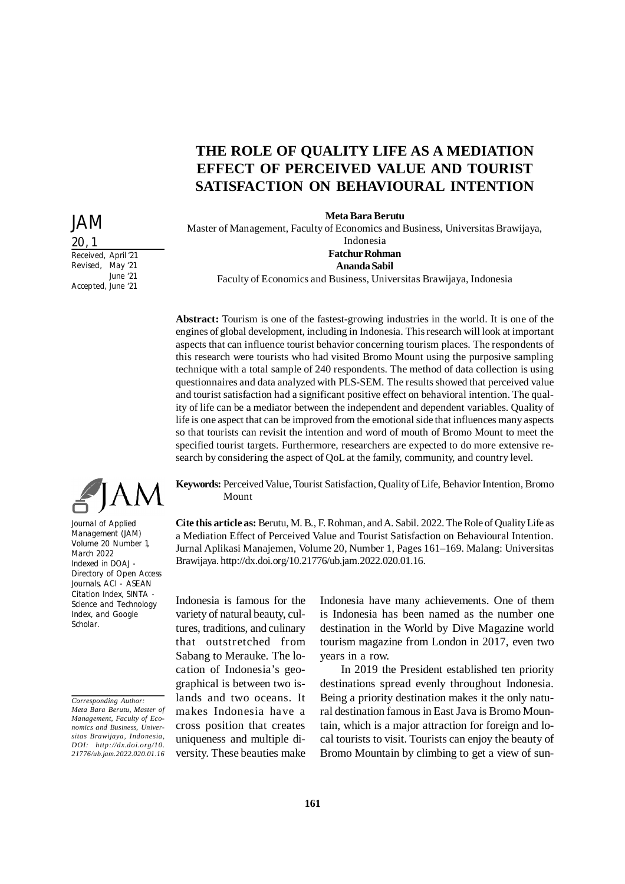# **THE ROLE OF QUALITY LIFE AS A MEDIATION EFFECT OF PERCEIVED VALUE AND TOURIST SATISFACTION ON BEHAVIOURAL INTENTION**

**Meta Bara Berutu**

Master of Management, Faculty of Economics and Business, Universitas Brawijaya, Indonesia **Fatchur Rohman**

#### **Ananda Sabil**

Faculty of Economics and Business, Universitas Brawijaya, Indonesia

**Abstract:** Tourism is one of the fastest-growing industries in the world. It is one of the engines of global development, including in Indonesia. This research will look at important aspects that can influence tourist behavior concerning tourism places. The respondents of this research were tourists who had visited Bromo Mount using the purposive sampling technique with a total sample of 240 respondents. The method of data collection is using questionnaires and data analyzed with PLS-SEM. The results showed that perceived value and tourist satisfaction had a significant positive effect on behavioral intention. The quality of life can be a mediator between the independent and dependent variables. Quality of life is one aspect that can be improved from the emotional side that influences many aspects so that tourists can revisit the intention and word of mouth of Bromo Mount to meet the specified tourist targets. Furthermore, researchers are expected to do more extensive research by considering the aspect of QoL at the family, community, and country level.

**Keywords:** Perceived Value, Tourist Satisfaction, Quality of Life, Behavior Intention, Bromo Mount

**Cite this article as:** Berutu, M. B., F. Rohman, and A. Sabil. 2022. The Role of Quality Life as a Mediation Effect of Perceived Value and Tourist Satisfaction on Behavioural Intention. Jurnal Aplikasi Manajemen, Volume 20, Number 1, Pages 161–169. Malang: Universitas Brawijaya. http://dx.doi.org/10.21776/ub.jam.2022.020.01.16.

Indonesia is famous for the variety of natural beauty, cultures, traditions, and culinary that outstretched from Sabang to Merauke. The location of Indonesia's geographical is between two islands and two oceans. It makes Indonesia have a cross position that creates uniqueness and multiple diversity. These beauties make

Indonesia have many achievements. One of them is Indonesia has been named as the number one destination in the World by Dive Magazine world tourism magazine from London in 2017, even two years in a row.

In 2019 the President established ten priority destinations spread evenly throughout Indonesia. Being a priority destination makes it the only natural destination famous in East Java is Bromo Mountain, which is a major attraction for foreign and local tourists to visit. Tourists can enjoy the beauty of Bromo Mountain by climbing to get a view of sun-

20, 1 Received, April '21 Revised, May '21 June '21

Accepted, June '21

JAM

Journal of Applied Management (JAM) Volume 20 Number 1, March 2022 Indexed in DOAJ - Directory of Open Access Journals, ACI - ASEAN Citation Index, SINTA - Science and Technology Index, and Google Scholar.

*Corresponding Author: Meta Bara Berutu, Master of Management, Faculty of Economics and Business, Universitas Brawijaya, Indonesia, DOI: http://dx.doi.org/10. 21776/ub.jam.2022.020.01.16*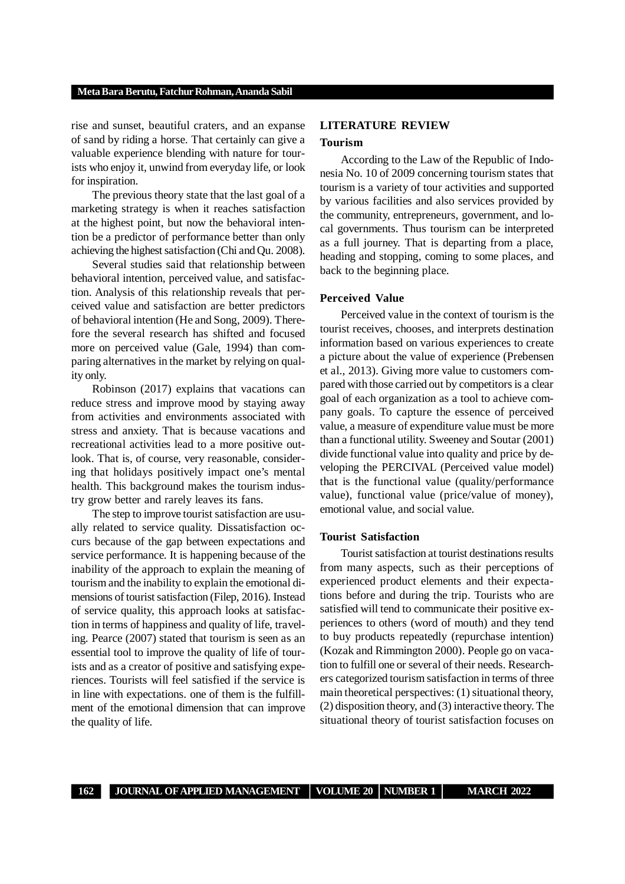#### **Meta Bara Berutu, Fatchur Rohman, Ananda Sabil**

rise and sunset, beautiful craters, and an expanse of sand by riding a horse. That certainly can give a valuable experience blending with nature for tourists who enjoy it, unwind from everyday life, or look for inspiration.

The previous theory state that the last goal of a marketing strategy is when it reaches satisfaction at the highest point, but now the behavioral intention be a predictor of performance better than only achieving the highest satisfaction (Chi and Qu. 2008).

Several studies said that relationship between behavioral intention, perceived value, and satisfaction. Analysis of this relationship reveals that perceived value and satisfaction are better predictors of behavioral intention (He and Song, 2009). Therefore the several research has shifted and focused more on perceived value (Gale, 1994) than comparing alternatives in the market by relying on quality only.

Robinson (2017) explains that vacations can reduce stress and improve mood by staying away from activities and environments associated with stress and anxiety. That is because vacations and recreational activities lead to a more positive outlook. That is, of course, very reasonable, considering that holidays positively impact one's mental health. This background makes the tourism industry grow better and rarely leaves its fans.

The step to improve tourist satisfaction are usually related to service quality. Dissatisfaction occurs because of the gap between expectations and service performance. It is happening because of the inability of the approach to explain the meaning of tourism and the inability to explain the emotional dimensions of tourist satisfaction (Filep, 2016). Instead of service quality, this approach looks at satisfaction in terms of happiness and quality of life, traveling. Pearce (2007) stated that tourism is seen as an essential tool to improve the quality of life of tourists and as a creator of positive and satisfying experiences. Tourists will feel satisfied if the service is in line with expectations. one of them is the fulfillment of the emotional dimension that can improve the quality of life.

# **LITERATURE REVIEW Tourism**

According to the Law of the Republic of Indonesia No. 10 of 2009 concerning tourism states that tourism is a variety of tour activities and supported by various facilities and also services provided by the community, entrepreneurs, government, and local governments. Thus tourism can be interpreted as a full journey. That is departing from a place, heading and stopping, coming to some places, and back to the beginning place.

# **Perceived Value**

Perceived value in the context of tourism is the tourist receives, chooses, and interprets destination information based on various experiences to create a picture about the value of experience (Prebensen et al., 2013). Giving more value to customers compared with those carried out by competitors is a clear goal of each organization as a tool to achieve company goals. To capture the essence of perceived value, a measure of expenditure value must be more than a functional utility. Sweeney and Soutar (2001) divide functional value into quality and price by developing the PERCIVAL (Perceived value model) that is the functional value (quality/performance value), functional value (price/value of money), emotional value, and social value.

# **Tourist Satisfaction**

Tourist satisfaction at tourist destinations results from many aspects, such as their perceptions of experienced product elements and their expectations before and during the trip. Tourists who are satisfied will tend to communicate their positive experiences to others (word of mouth) and they tend to buy products repeatedly (repurchase intention) (Kozak and Rimmington 2000). People go on vacation to fulfill one or several of their needs. Researchers categorized tourism satisfaction in terms of three main theoretical perspectives: (1) situational theory, (2) disposition theory, and (3) interactive theory. The situational theory of tourist satisfaction focuses on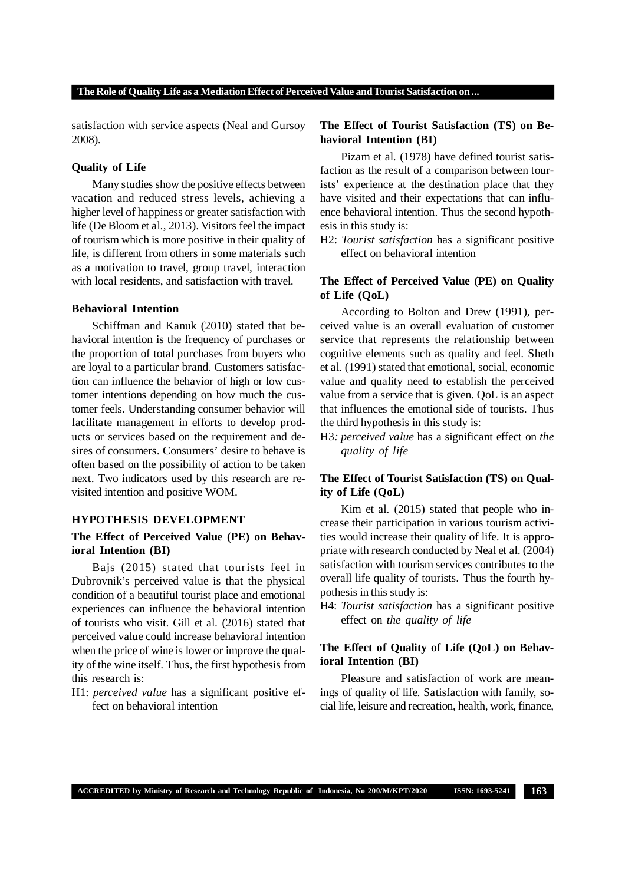satisfaction with service aspects (Neal and Gursoy 2008).

### **Quality of Life**

Many studies show the positive effects between vacation and reduced stress levels, achieving a higher level of happiness or greater satisfaction with life (De Bloom et al., 2013). Visitors feel the impact of tourism which is more positive in their quality of life, is different from others in some materials such as a motivation to travel, group travel, interaction with local residents, and satisfaction with travel.

#### **Behavioral Intention**

Schiffman and Kanuk (2010) stated that behavioral intention is the frequency of purchases or the proportion of total purchases from buyers who are loyal to a particular brand. Customers satisfaction can influence the behavior of high or low customer intentions depending on how much the customer feels. Understanding consumer behavior will facilitate management in efforts to develop products or services based on the requirement and desires of consumers. Consumers' desire to behave is often based on the possibility of action to be taken next. Two indicators used by this research are revisited intention and positive WOM.

# **HYPOTHESIS DEVELOPMENT**

# **The Effect of Perceived Value (PE) on Behavioral Intention (BI)**

Bajs (2015) stated that tourists feel in Dubrovnik's perceived value is that the physical condition of a beautiful tourist place and emotional experiences can influence the behavioral intention of tourists who visit. Gill et al. (2016) stated that perceived value could increase behavioral intention when the price of wine is lower or improve the quality of the wine itself. Thus, the first hypothesis from this research is:

H1: *perceived value* has a significant positive effect on behavioral intention

# **The Effect of Tourist Satisfaction (TS) on Behavioral Intention (BI)**

Pizam et al. (1978) have defined tourist satisfaction as the result of a comparison between tourists' experience at the destination place that they have visited and their expectations that can influence behavioral intention. Thus the second hypothesis in this study is:

H2: *Tourist satisfaction* has a significant positive effect on behavioral intention

# **The Effect of Perceived Value (PE) on Quality of Life (QoL)**

According to Bolton and Drew (1991), perceived value is an overall evaluation of customer service that represents the relationship between cognitive elements such as quality and feel. Sheth et al. (1991) stated that emotional, social, economic value and quality need to establish the perceived value from a service that is given. QoL is an aspect that influences the emotional side of tourists. Thus the third hypothesis in this study is:

H3*: perceived value* has a significant effect on *the quality of life*

# **The Effect of Tourist Satisfaction (TS) on Quality of Life (QoL)**

Kim et al. (2015) stated that people who increase their participation in various tourism activities would increase their quality of life. It is appropriate with research conducted by Neal et al. (2004) satisfaction with tourism services contributes to the overall life quality of tourists. Thus the fourth hypothesis in this study is:

H4: *Tourist satisfaction* has a significant positive effect on *the quality of life*

# **The Effect of Quality of Life (QoL) on Behavioral Intention (BI)**

Pleasure and satisfaction of work are meanings of quality of life. Satisfaction with family, social life, leisure and recreation, health, work, finance,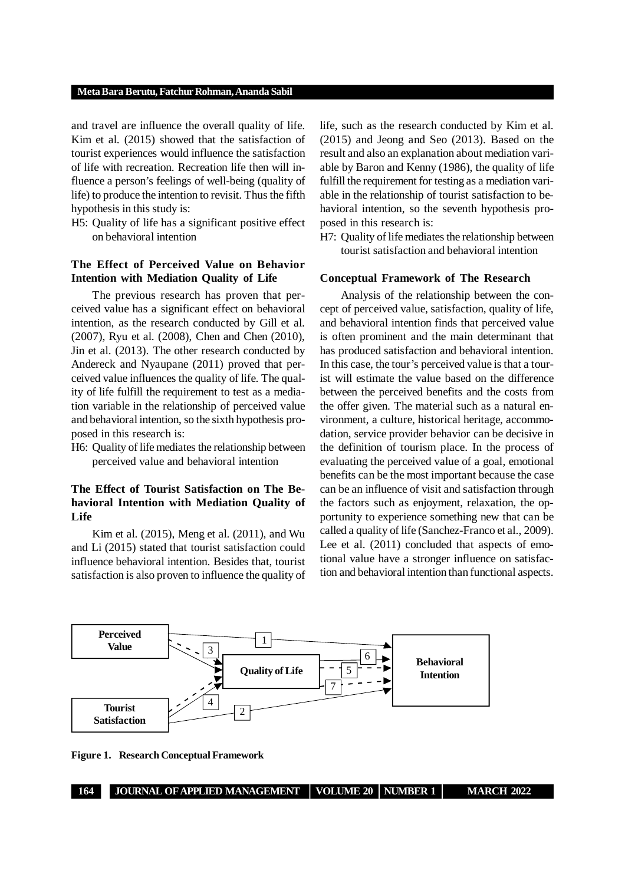#### **Meta Bara Berutu, Fatchur Rohman, Ananda Sabil**

and travel are influence the overall quality of life. Kim et al. (2015) showed that the satisfaction of tourist experiences would influence the satisfaction of life with recreation. Recreation life then will influence a person's feelings of well-being (quality of life) to produce the intention to revisit. Thus the fifth hypothesis in this study is:

H5: Quality of life has a significant positive effect on behavioral intention

# **The Effect of Perceived Value on Behavior Intention with Mediation Quality of Life**

The previous research has proven that perceived value has a significant effect on behavioral intention, as the research conducted by Gill et al. (2007), Ryu et al. (2008), Chen and Chen (2010), Jin et al. (2013). The other research conducted by Andereck and Nyaupane (2011) proved that perceived value influences the quality of life. The quality of life fulfill the requirement to test as a mediation variable in the relationship of perceived value and behavioral intention, so the sixth hypothesis proposed in this research is:

H6: Quality of life mediates the relationship between perceived value and behavioral intention

# **The Effect of Tourist Satisfaction on The Behavioral Intention with Mediation Quality of Life**

Kim et al. (2015), Meng et al. (2011), and Wu and Li (2015) stated that tourist satisfaction could influence behavioral intention. Besides that, tourist satisfaction is also proven to influence the quality of life, such as the research conducted by Kim et al. (2015) and Jeong and Seo (2013). Based on the result and also an explanation about mediation variable by Baron and Kenny (1986), the quality of life fulfill the requirement for testing as a mediation variable in the relationship of tourist satisfaction to behavioral intention, so the seventh hypothesis proposed in this research is:

H7: Quality of life mediates the relationship between tourist satisfaction and behavioral intention

# **Conceptual Framework of The Research**

Analysis of the relationship between the concept of perceived value, satisfaction, quality of life, and behavioral intention finds that perceived value is often prominent and the main determinant that has produced satisfaction and behavioral intention. In this case, the tour's perceived value is that a tourist will estimate the value based on the difference between the perceived benefits and the costs from the offer given. The material such as a natural environment, a culture, historical heritage, accommodation, service provider behavior can be decisive in the definition of tourism place. In the process of evaluating the perceived value of a goal, emotional benefits can be the most important because the case can be an influence of visit and satisfaction through the factors such as enjoyment, relaxation, the opportunity to experience something new that can be called a quality of life (Sanchez-Franco et al., 2009). Lee et al. (2011) concluded that aspects of emotional value have a stronger influence on satisfaction and behavioral intention than functional aspects.



**Figure 1. Research Conceptual Framework**

**164 JOURNAL OF APPLIED MANAGEMENT VOLUME 20 NUMBER 1 MARCH 2022**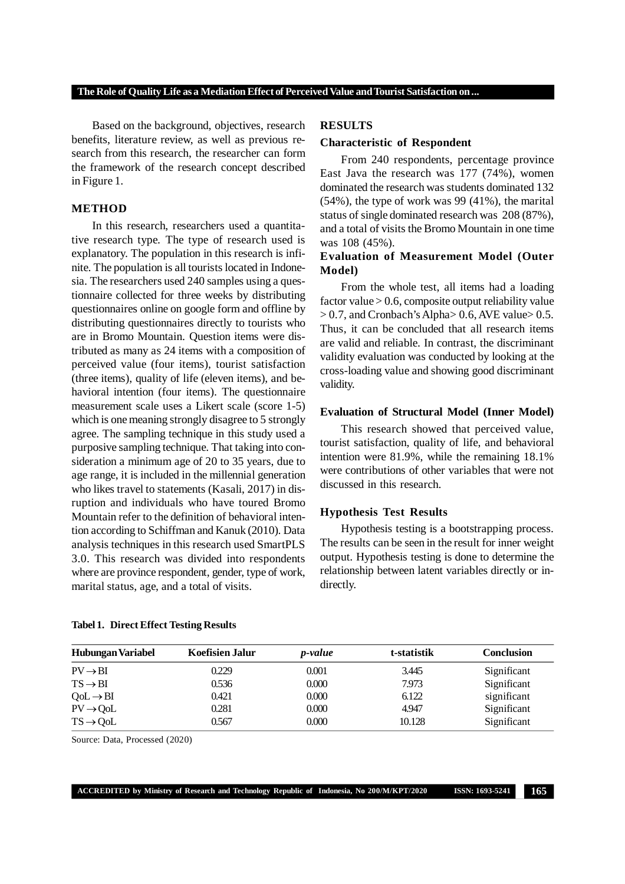Based on the background, objectives, research benefits, literature review, as well as previous research from this research, the researcher can form the framework of the research concept described in Figure 1.

# **METHOD**

In this research, researchers used a quantitative research type. The type of research used is explanatory. The population in this research is infinite. The population is all tourists located in Indonesia. The researchers used 240 samples using a questionnaire collected for three weeks by distributing questionnaires online on google form and offline by distributing questionnaires directly to tourists who are in Bromo Mountain. Question items were distributed as many as 24 items with a composition of perceived value (four items), tourist satisfaction (three items), quality of life (eleven items), and behavioral intention (four items). The questionnaire measurement scale uses a Likert scale (score 1-5) which is one meaning strongly disagree to 5 strongly agree. The sampling technique in this study used a purposive sampling technique. That taking into consideration a minimum age of 20 to 35 years, due to age range, it is included in the millennial generation who likes travel to statements (Kasali, 2017) in disruption and individuals who have toured Bromo Mountain refer to the definition of behavioral intention according to Schiffman and Kanuk (2010). Data analysis techniques in this research used SmartPLS 3.0. This research was divided into respondents where are province respondent, gender, type of work, marital status, age, and a total of visits.

### **RESULTS**

#### **Characteristic of Respondent**

From 240 respondents, percentage province East Java the research was 177 (74%), women dominated the research was students dominated 132 (54%), the type of work was 99 (41%), the marital status of single dominated research was 208 (87%), and a total of visits the Bromo Mountain in one time was 108 (45%).

# **Evaluation of Measurement Model (Outer Model)**

From the whole test, all items had a loading factor value > 0.6, composite output reliability value > 0.7, and Cronbach's Alpha> 0.6, AVE value> 0.5. Thus, it can be concluded that all research items are valid and reliable. In contrast, the discriminant validity evaluation was conducted by looking at the cross-loading value and showing good discriminant validity.

#### **Evaluation of Structural Model (Inner Model)**

This research showed that perceived value, tourist satisfaction, quality of life, and behavioral intention were 81.9%, while the remaining 18.1% were contributions of other variables that were not discussed in this research.

#### **Hypothesis Test Results**

Hypothesis testing is a bootstrapping process. The results can be seen in the result for inner weight output. Hypothesis testing is done to determine the relationship between latent variables directly or indirectly.

| Hubungan Variabel           | <b>Koefisien Jalur</b> | <i>p</i> -value | t-statistik | <b>Conclusion</b> |
|-----------------------------|------------------------|-----------------|-------------|-------------------|
| $PV \rightarrow BI$         | 0.229                  | 0.001           | 3.445       | Significant       |
| $TS \rightarrow BI$         | 0.536                  | 0.000           | 7.973       | Significant       |
| $QoL \rightarrow BI$        | 0.421                  | 0.000           | 6.122       | significant       |
| $PV \rightarrow QoL$        | 0.281                  | 0.000           | 4.947       | Significant       |
| $TS \rightarrow \text{QoL}$ | 0.567                  | 0.000           | 10.128      | Significant       |

#### **Tabel 1. Direct Effect Testing Results**

Source: Data, Processed (2020)

**ACCREDITED by Ministry of Research and Technology Republic of Indonesia, No 200/M/KPT/2020 ISSN: 1693-5241 165**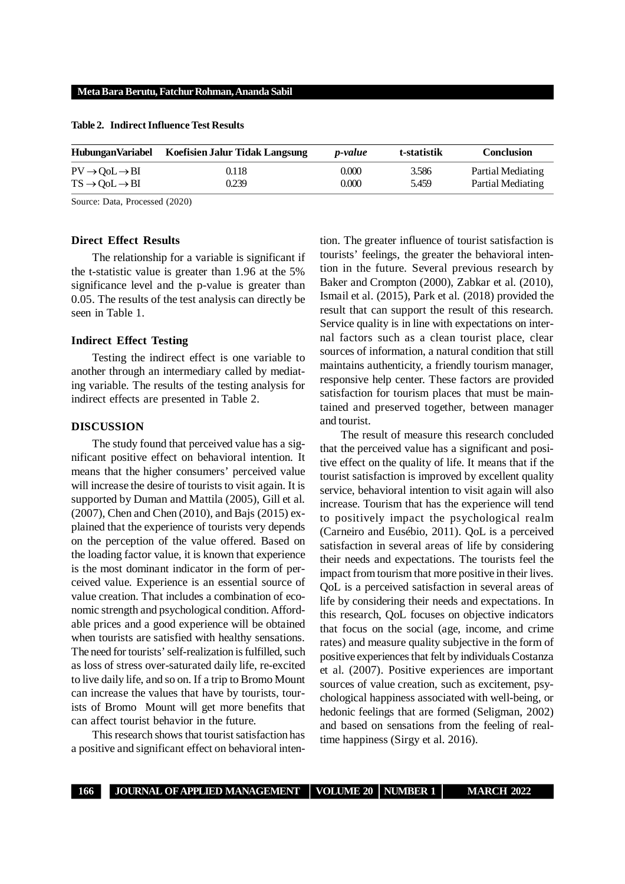#### **Meta Bara Berutu, Fatchur Rohman, Ananda Sabil**

| <b>HubunganVariabel</b>                           | Koefisien Jalur Tidak Langsung | <i>v</i> -value | t-statistik | <b>Conclusion</b> |
|---------------------------------------------------|--------------------------------|-----------------|-------------|-------------------|
| $PV \rightarrow \text{OoL} \rightarrow \text{BI}$ | 0.118                          | 0.000           | 3.586       | Partial Mediating |
| $TS \rightarrow \text{OoL} \rightarrow \text{BI}$ | 0.239                          | 0.000           | 5.459       | Partial Mediating |

**Table 2. Indirect Influence Test Results**

Source: Data, Processed (2020)

#### **Direct Effect Results**

The relationship for a variable is significant if the t-statistic value is greater than 1.96 at the 5% significance level and the p-value is greater than 0.05. The results of the test analysis can directly be seen in Table 1.

# **Indirect Effect Testing**

Testing the indirect effect is one variable to another through an intermediary called by mediating variable. The results of the testing analysis for indirect effects are presented in Table 2.

#### **DISCUSSION**

The study found that perceived value has a significant positive effect on behavioral intention. It means that the higher consumers' perceived value will increase the desire of tourists to visit again. It is supported by Duman and Mattila (2005), Gill et al. (2007), Chen and Chen (2010), and Bajs (2015) explained that the experience of tourists very depends on the perception of the value offered. Based on the loading factor value, it is known that experience is the most dominant indicator in the form of perceived value. Experience is an essential source of value creation. That includes a combination of economic strength and psychological condition. Affordable prices and a good experience will be obtained when tourists are satisfied with healthy sensations. The need for tourists' self-realization is fulfilled, such as loss of stress over-saturated daily life, re-excited to live daily life, and so on. If a trip to Bromo Mount can increase the values that have by tourists, tourists of Bromo Mount will get more benefits that can affect tourist behavior in the future.

This research shows that tourist satisfaction has a positive and significant effect on behavioral inten-

tion. The greater influence of tourist satisfaction is tourists' feelings, the greater the behavioral intention in the future. Several previous research by Baker and Crompton (2000), Zabkar et al. (2010), Ismail et al. (2015), Park et al. (2018) provided the result that can support the result of this research. Service quality is in line with expectations on internal factors such as a clean tourist place, clear sources of information, a natural condition that still maintains authenticity, a friendly tourism manager, responsive help center. These factors are provided satisfaction for tourism places that must be maintained and preserved together, between manager and tourist.

The result of measure this research concluded that the perceived value has a significant and positive effect on the quality of life. It means that if the tourist satisfaction is improved by excellent quality service, behavioral intention to visit again will also increase. Tourism that has the experience will tend to positively impact the psychological realm (Carneiro and Eusébio, 2011). QoL is a perceived satisfaction in several areas of life by considering their needs and expectations. The tourists feel the impact from tourism that more positive in their lives. QoL is a perceived satisfaction in several areas of life by considering their needs and expectations. In this research, QoL focuses on objective indicators that focus on the social (age, income, and crime rates) and measure quality subjective in the form of positive experiences that felt by individuals Costanza et al. (2007). Positive experiences are important sources of value creation, such as excitement, psychological happiness associated with well-being, or hedonic feelings that are formed (Seligman, 2002) and based on sensations from the feeling of realtime happiness (Sirgy et al. 2016).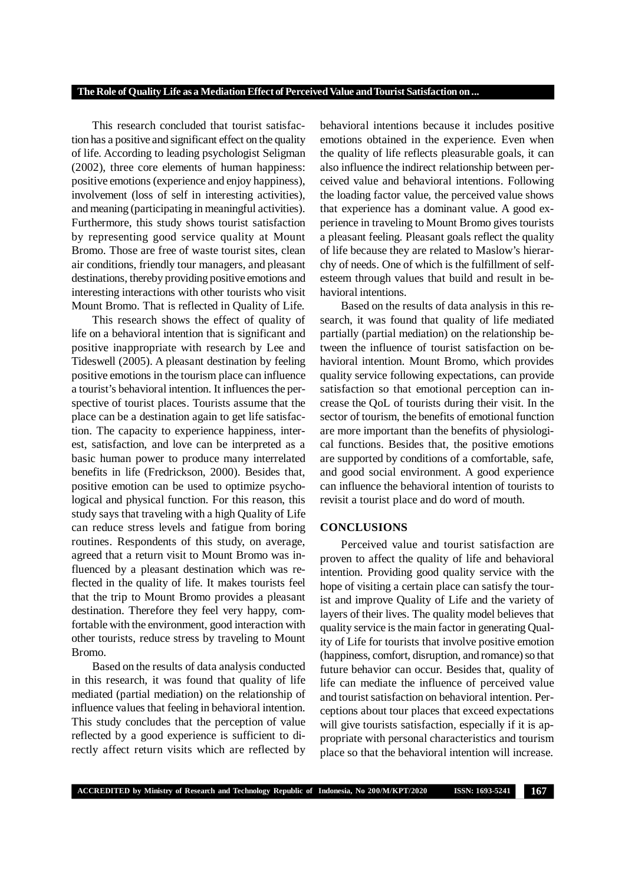This research concluded that tourist satisfaction has a positive and significant effect on the quality of life. According to leading psychologist Seligman (2002), three core elements of human happiness: positive emotions (experience and enjoy happiness), involvement (loss of self in interesting activities), and meaning (participating in meaningful activities). Furthermore, this study shows tourist satisfaction by representing good service quality at Mount Bromo. Those are free of waste tourist sites, clean air conditions, friendly tour managers, and pleasant destinations, thereby providing positive emotions and interesting interactions with other tourists who visit Mount Bromo. That is reflected in Quality of Life.

This research shows the effect of quality of life on a behavioral intention that is significant and positive inappropriate with research by Lee and Tideswell (2005). A pleasant destination by feeling positive emotions in the tourism place can influence a tourist's behavioral intention. It influences the perspective of tourist places. Tourists assume that the place can be a destination again to get life satisfaction. The capacity to experience happiness, interest, satisfaction, and love can be interpreted as a basic human power to produce many interrelated benefits in life (Fredrickson, 2000). Besides that, positive emotion can be used to optimize psychological and physical function. For this reason, this study says that traveling with a high Quality of Life can reduce stress levels and fatigue from boring routines. Respondents of this study, on average, agreed that a return visit to Mount Bromo was influenced by a pleasant destination which was reflected in the quality of life. It makes tourists feel that the trip to Mount Bromo provides a pleasant destination. Therefore they feel very happy, comfortable with the environment, good interaction with other tourists, reduce stress by traveling to Mount Bromo.

Based on the results of data analysis conducted in this research, it was found that quality of life mediated (partial mediation) on the relationship of influence values that feeling in behavioral intention. This study concludes that the perception of value reflected by a good experience is sufficient to directly affect return visits which are reflected by

behavioral intentions because it includes positive emotions obtained in the experience. Even when the quality of life reflects pleasurable goals, it can also influence the indirect relationship between perceived value and behavioral intentions. Following the loading factor value, the perceived value shows that experience has a dominant value. A good experience in traveling to Mount Bromo gives tourists a pleasant feeling. Pleasant goals reflect the quality of life because they are related to Maslow's hierarchy of needs. One of which is the fulfillment of selfesteem through values that build and result in behavioral intentions.

Based on the results of data analysis in this research, it was found that quality of life mediated partially (partial mediation) on the relationship between the influence of tourist satisfaction on behavioral intention. Mount Bromo, which provides quality service following expectations, can provide satisfaction so that emotional perception can increase the QoL of tourists during their visit. In the sector of tourism, the benefits of emotional function are more important than the benefits of physiological functions. Besides that, the positive emotions are supported by conditions of a comfortable, safe, and good social environment. A good experience can influence the behavioral intention of tourists to revisit a tourist place and do word of mouth.

#### **CONCLUSIONS**

Perceived value and tourist satisfaction are proven to affect the quality of life and behavioral intention. Providing good quality service with the hope of visiting a certain place can satisfy the tourist and improve Quality of Life and the variety of layers of their lives. The quality model believes that quality service is the main factor in generating Quality of Life for tourists that involve positive emotion (happiness, comfort, disruption, and romance) so that future behavior can occur. Besides that, quality of life can mediate the influence of perceived value and tourist satisfaction on behavioral intention. Perceptions about tour places that exceed expectations will give tourists satisfaction, especially if it is appropriate with personal characteristics and tourism place so that the behavioral intention will increase.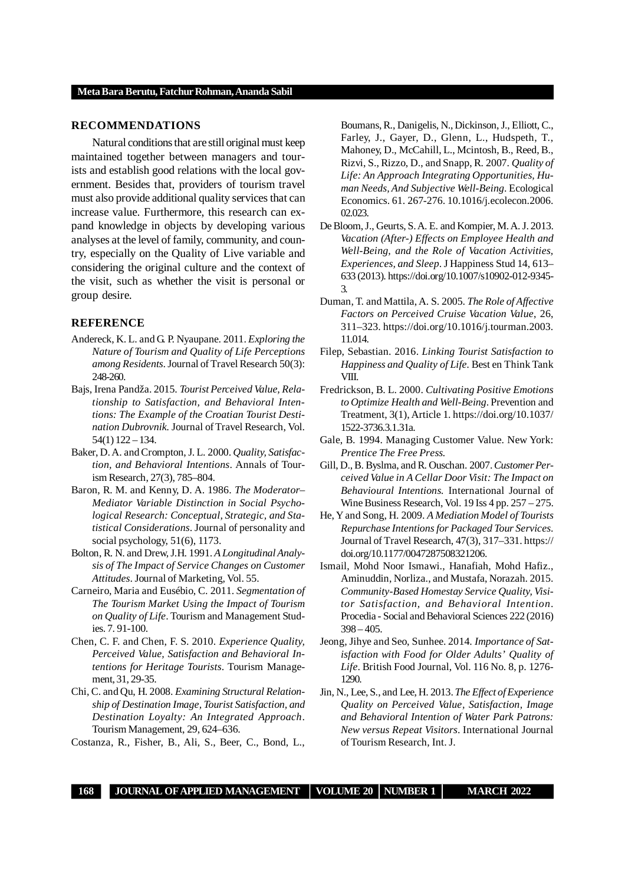#### **RECOMMENDATIONS**

Natural conditions that are still original must keep maintained together between managers and tourists and establish good relations with the local government. Besides that, providers of tourism travel must also provide additional quality services that can increase value. Furthermore, this research can expand knowledge in objects by developing various analyses at the level of family, community, and country, especially on the Quality of Live variable and considering the original culture and the context of the visit, such as whether the visit is personal or group desire.

### **REFERENCE**

- Andereck, K. L. and G. P. Nyaupane. 2011. *Exploring the Nature of Tourism and Quality of Life Perceptions among Residents*. Journal of Travel Research 50(3): 248-260.
- Bajs, Irena Pandža. 2015. *Tourist Perceived Value, Relationship to Satisfaction, and Behavioral Intentions: The Example of the Croatian Tourist Destination Dubrovnik.* Journal of Travel Research, Vol. 54(1) 122 – 134.
- Baker, D. A. and Crompton, J. L. 2000. *Quality, Satisfaction, and Behavioral Intentions*. Annals of Tourism Research, 27(3), 785–804.
- Baron, R. M. and Kenny, D. A. 1986. *The Moderator– Mediator Variable Distinction in Social Psychological Research: Conceptual, Strategic, and Statistical Considerations*. Journal of personality and social psychology, 51(6), 1173.
- Bolton, R. N. and Drew, J.H. 1991. *A Longitudinal Analysis of The Impact of Service Changes on Customer Attitudes*. Journal of Marketing, Vol. 55.
- Carneiro, Maria and Eusébio, C. 2011. *Segmentation of The Tourism Market Using the Impact of Tourism on Quality of Life*. Tourism and Management Studies. 7. 91-100.
- Chen, C. F. and Chen, F. S. 2010. *Experience Quality, Perceived Value, Satisfaction and Behavioral Intentions for Heritage Tourists*. Tourism Management, 31, 29-35.
- Chi, C. and Qu, H. 2008. *Examining Structural Relationship of Destination Image, Tourist Satisfaction, and Destination Loyalty: An Integrated Approach*. Tourism Management, 29, 624–636.

Costanza, R., Fisher, B., Ali, S., Beer, C., Bond, L.,

Boumans, R., Danigelis, N., Dickinson, J., Elliott, C., Farley, J., Gayer, D., Glenn, L., Hudspeth, T., Mahoney, D., McCahill, L., Mcintosh, B., Reed, B., Rizvi, S., Rizzo, D., and Snapp, R. 2007. *Quality of Life: An Approach Integrating Opportunities, Human Needs, And Subjective Well-Being*. Ecological Economics. 61. 267-276. 10.1016/j.ecolecon.2006. 02.023.

- De Bloom, J., Geurts, S. A. E. and Kompier, M. A. J. 2013. *Vacation (After-) Effects on Employee Health and Well-Being, and the Role of Vacation Activities, Experiences, and Sleep*. J Happiness Stud 14, 613– 633 (2013). https://doi.org/10.1007/s10902-012-9345- 3.
- Duman, T. and Mattila, A. S. 2005. *The Role of Affective Factors on Perceived Cruise Vacation Value*, 26, 311–323. https://doi.org/10.1016/j.tourman.2003. 11.014.
- Filep, Sebastian. 2016. *Linking Tourist Satisfaction to Happiness and Quality of Life.* Best en Think Tank VIII.
- Fredrickson, B. L. 2000. *Cultivating Positive Emotions to Optimize Health and Well-Being*. Prevention and Treatment, 3(1), Article 1. https://doi.org/10.1037/ 1522-3736.3.1.31a.
- Gale, B. 1994. Managing Customer Value. New York: *Prentice The Free Press.*
- Gill, D., B. Byslma, and R. Ouschan. 2007. *Customer Perceived Value in A Cellar Door Visit: The Impact on Behavioural Intentions.* International Journal of Wine Business Research, Vol. 19 Iss 4 pp. 257 – 275.
- He, Y and Song, H. 2009. *A Mediation Model of Tourists Repurchase Intentions for Packaged Tour Services*. Journal of Travel Research, 47(3), 317–331. https:// doi.org/10.1177/0047287508321206.
- Ismail, Mohd Noor Ismawi., Hanafiah, Mohd Hafiz., Aminuddin, Norliza., and Mustafa, Norazah. 2015. *Community-Based Homestay Service Quality, Visitor Satisfaction, and Behavioral Intention*. Procedia - Social and Behavioral Sciences 222 (2016)  $398 - 405$ .
- Jeong, Jihye and Seo, Sunhee. 2014. *Importance of Satisfaction with Food for Older Adults' Quality of Life*. British Food Journal, Vol. 116 No. 8, p. 1276- 1290.
- Jin, N., Lee, S., and Lee, H. 2013. *The Effect of Experience Quality on Perceived Value, Satisfaction, Image and Behavioral Intention of Water Park Patrons: New versus Repeat Visitors*. International Journal of Tourism Research, Int. J.